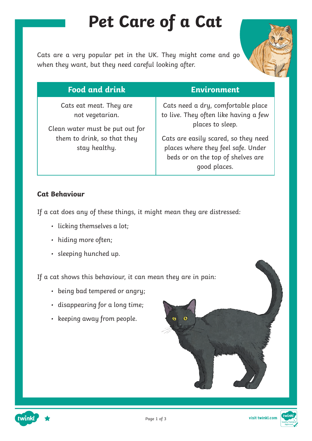## **Pet Care of a Cat**

Cats are a very popular pet in the UK. They might come and go when they want, but they need careful looking after.



| <b>Food and drink</b>                                                                                                         | <b>Environment</b>                                                                                                                                                                                                                 |
|-------------------------------------------------------------------------------------------------------------------------------|------------------------------------------------------------------------------------------------------------------------------------------------------------------------------------------------------------------------------------|
| Cats eat meat. They are<br>not vegetarian.<br>Clean water must be put out for<br>them to drink, so that they<br>stay healthy. | Cats need a dry, comfortable place<br>to live. They often like having a few<br>places to sleep.<br>Cats are easily scared, so they need<br>places where they feel safe. Under<br>beds or on the top of shelves are<br>good places. |

#### **Cat Behaviour**

If a cat does any of these things, it might mean they are distressed:

- licking themselves a lot;
- hiding more often;
- sleeping hunched up.

If a cat shows this behaviour, it can mean they are in pain:

- being bad tempered or angry;
- disappearing for a long time;
- keeping away from people.



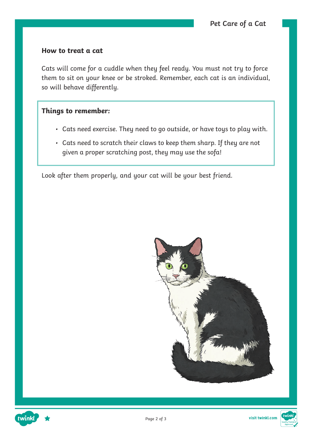#### **How to treat a cat**

Cats will come for a cuddle when they feel ready. You must not try to force them to sit on your knee or be stroked. Remember, each cat is an individual, so will behave differently.

#### **Things to remember:**

- Cats need exercise. They need to go outside, or have toys to play with.
- Cats need to scratch their claws to keep them sharp. If they are not given a proper scratching post, they may use the sofa!

Look after them properly, and your cat will be your best friend.





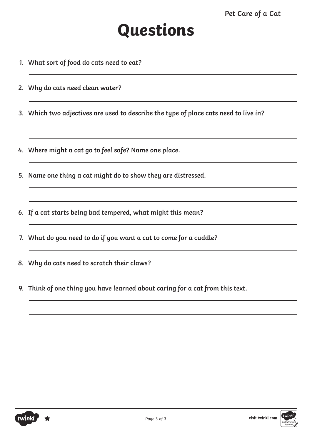- **1. What sort of food do cats need to eat?**
- **2. Why do cats need clean water?**
- **3. Which two adjectives are used to describe the type of place cats need to live in?**
- **4. Where might a cat go to feel safe? Name one place.**
- **5. Name one thing a cat might do to show they are distressed.**
- **6. If a cat starts being bad tempered, what might this mean?**
- **7. What do you need to do if you want a cat to come for a cuddle?**
- **8. Why do cats need to scratch their claws?**
- **9. Think of one thing you have learned about caring for a cat from this text.**

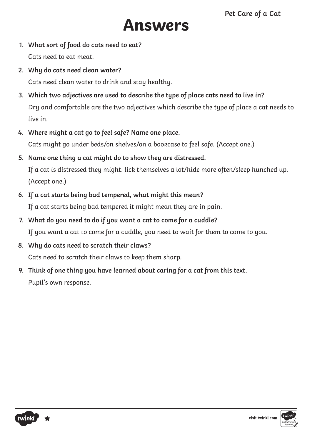### **Answers**

- **1. What sort of food do cats need to eat?** Cats need to eat meat.
- **2. Why do cats need clean water?**  Cats need clean water to drink and stay healthy.
- **3. Which two adjectives are used to describe the type of place cats need to live in?** Dry and comfortable are the two adjectives which describe the type of place a cat needs to live in.
- **4. Where might a cat go to feel safe? Name one place.** Cats might go under beds/on shelves/on a bookcase to feel safe. (Accept one.)
- **5. Name one thing a cat might do to show they are distressed.**

If a cat is distressed they might: lick themselves a lot/hide more often/sleep hunched up. (Accept one.)

**6. If a cat starts being bad tempered, what might this mean?**

If a cat starts being bad tempered it might mean they are in pain.

- **7. What do you need to do if you want a cat to come for a cuddle?** If you want a cat to come for a cuddle, you need to wait for them to come to you.
- **8. Why do cats need to scratch their claws?** Cats need to scratch their claws to keep them sharp.
- **9. Think of one thing you have learned about caring for a cat from this text.** Pupil's own response.



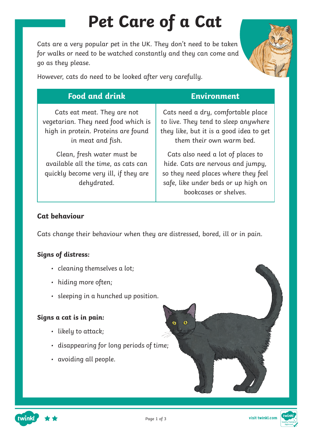# **Pet Care of a Cat**

Cats are a very popular pet in the UK. They don't need to be taken for walks or need to be watched constantly and they can come and go as they please.



However, cats do need to be looked after very carefully.

| <b>Food and drink</b>                                                                                                          | <b>Environment</b>                                                                                                                                                            |
|--------------------------------------------------------------------------------------------------------------------------------|-------------------------------------------------------------------------------------------------------------------------------------------------------------------------------|
| Cats eat meat. They are not<br>vegetarian. They need food which is<br>high in protein. Proteins are found<br>in meat and fish. | Cats need a dry, comfortable place<br>to live. They tend to sleep anywhere<br>they like, but it is a good idea to get<br>them their own warm bed.                             |
| Clean, fresh water must be<br>available all the time, as cats can<br>quickly become very ill, if they are<br>dehydrated.       | Cats also need a lot of places to<br>hide. Cats are nervous and jumpy,<br>so they need places where they feel<br>safe, like under beds or up high on<br>bookcases or shelves. |

#### **Cat behaviour**

Cats change their behaviour when they are distressed, bored, ill or in pain.

#### **Signs of distress:**

- cleaning themselves a lot;
- hiding more often;
- sleeping in a hunched up position.

#### **Signs a cat is in pain:**

twinkl

- likely to attack;
- disappearing for long periods of time;
- avoiding all people.

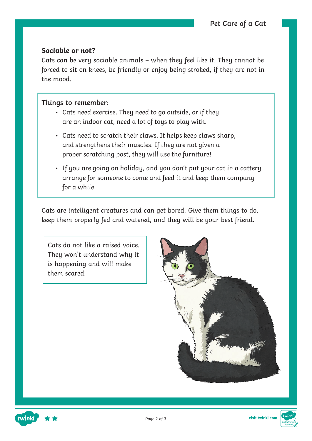#### **Sociable or not?**

Cats can be very sociable animals – when they feel like it. They cannot be forced to sit on knees, be friendly or enjoy being stroked, if they are not in the mood.

#### **Things to remember:**

- Cats need exercise. They need to go outside, or if they are an indoor cat, need a lot of toys to play with.
- Cats need to scratch their claws. It helps keep claws sharp, and strengthens their muscles. If they are not given a proper scratching post, they will use the furniture!
- If you are going on holiday, and you don't put your cat in a cattery, arrange for someone to come and feed it and keep them company for a while.

Cats are intelligent creatures and can get bored. Give them things to do, keep them properly fed and watered, and they will be your best friend.

Cats do not like a raised voice. They won't understand why it is happening and will make them scared.





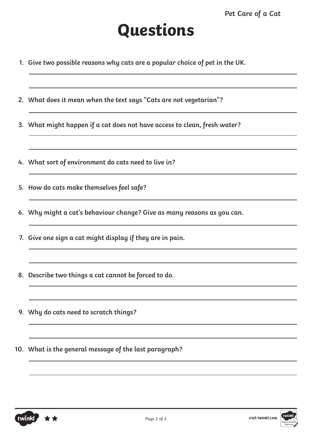- **1. Give two possible reasons why cats are a popular choice of pet in the UK.**
- **2. What does it mean when the text says "Cats are not vegetarian"?**
- **3. What might happen if a cat does not have access to clean, fresh water?**
- **4. What sort of environment do cats need to live in?**
- **5. How do cats make themselves feel safe?**
- **6. Why might a cat's behaviour change? Give as many reasons as you can.**
- **7. Give one sign a cat might display if they are in pain.**
- **8. Describe two things a cat cannot be forced to do.**
- **9. Why do cats need to scratch things?**
- **10. What is the general message of the last paragraph?**



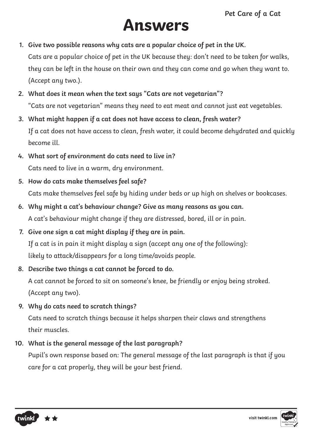## **Answers**

- **1. Give two possible reasons why cats are a popular choice of pet in the UK.** Cats are a popular choice of pet in the UK because they: don't need to be taken for walks, they can be left in the house on their own and they can come and go when they want to. (Accept any two.).
- **2. What does it mean when the text says "Cats are not vegetarian"?** "Cats are not vegetarian" means they need to eat meat and cannot just eat vegetables.
- **3. What might happen if a cat does not have access to clean, fresh water?** If a cat does not have access to clean, fresh water, it could become dehydrated and quickly become ill.
- **4. What sort of environment do cats need to live in?** Cats need to live in a warm, dry environment.
- **5. How do cats make themselves feel safe?** Cats make themselves feel safe by hiding under beds or up high on shelves or bookcases.
- **6. Why might a cat's behaviour change? Give as many reasons as you can.** A cat's behaviour might change if they are distressed, bored, ill or in pain.
- **7. Give one sign a cat might display if they are in pain.** If a cat is in pain it might display a sign (accept any one of the following): likely to attack/disappears for a long time/avoids people.
- **8. Describe two things a cat cannot be forced to do.**

A cat cannot be forced to sit on someone's knee, be friendly or enjoy being stroked. (Accept any two).

**9. Why do cats need to scratch things?**

Cats need to scratch things because it helps sharpen their claws and strengthens their muscles.

**10. What is the general message of the last paragraph?**

Pupil's own response based on: The general message of the last paragraph is that if you care for a cat properly, they will be your best friend.



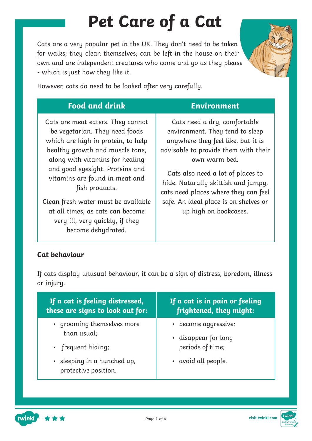# **Pet Care of a Cat**

Cats are a very popular pet in the UK. They don't need to be taken for walks; they clean themselves; can be left in the house on their own and are independent creatures who come and go as they please - which is just how they like it.



However, cats do need to be looked after very carefully.

| <b>Food and drink</b>                                                                                                                                                                                                                                                                                                                                                                                      | <b>Environment</b>                                                                                                                                                                                                                                                                                                                                   |
|------------------------------------------------------------------------------------------------------------------------------------------------------------------------------------------------------------------------------------------------------------------------------------------------------------------------------------------------------------------------------------------------------------|------------------------------------------------------------------------------------------------------------------------------------------------------------------------------------------------------------------------------------------------------------------------------------------------------------------------------------------------------|
| Cats are meat eaters. They cannot<br>be vegetarian. They need foods<br>which are high in protein, to help<br>healthy growth and muscle tone,<br>along with vitamins for healing<br>and good eyesight. Proteins and<br>vitamins are found in meat and<br>fish products.<br>Clean fresh water must be available<br>at all times, as cats can become<br>very ill, very quickly, if they<br>become dehydrated. | Cats need a dry, comfortable<br>environment. They tend to sleep<br>anywhere they feel like, but it is<br>advisable to provide them with their<br>own warm bed.<br>Cats also need a lot of places to<br>hide. Naturally skittish and jumpy,<br>cats need places where they can feel<br>safe. An ideal place is on shelves or<br>up high on bookcases. |

#### **Cat behaviour**

If cats display unusual behaviour, it can be a sign of distress, boredom, illness or injury.

| If a cat is feeling distressed,<br>these are signs to look out for: | If a cat is in pain or feeling<br>frightened, they might: |
|---------------------------------------------------------------------|-----------------------------------------------------------|
| • grooming themselves more                                          | • become aggressive;                                      |
| than usual;                                                         | • disappear for long                                      |
| • frequent hiding;                                                  | periods of time;                                          |
| · sleeping in a hunched up,<br>protective position.                 | • avoid all people.                                       |



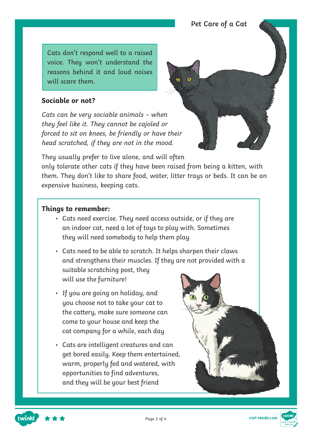Cats don't respond well to a raised voice. They won't understand the reasons behind it and loud noises will scare them.

#### **Sociable or not?**

Cats can be very sociable animals – when they feel like it. They cannot be cajoled or forced to sit on knees, be friendly or have their head scratched, if they are not in the mood.

They usually prefer to live alone, and will often

only tolerate other cats if they have been raised from being a kitten, with them. They don't like to share food, water, litter trays or beds. It can be an expensive business, keeping cats.

#### **Things to remember:**

twinkl

• Cats need exercise. They need access outside, or if they are an indoor cat, need a lot of toys to play with. Sometimes they will need somebody to help them play

• Cats need to be able to scratch. It helps sharpen their claws and strengthens their muscles. If they are not provided with a

suitable scratching post, they will use the furniture!

- If you are going on holiday, and you choose not to take your cat to the cattery, make sure someone can come to your house and keep the cat company for a while, each day
- Cats are intelligent creatures and can get bored easily. Keep them entertained, warm, properly fed and watered, with opportunities to find adventures, and they will be your best friend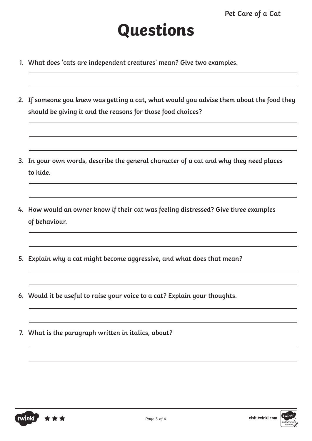- **1. What does 'cats are independent creatures' mean? Give two examples.**
- **2. If someone you knew was getting a cat, what would you advise them about the food they should be giving it and the reasons for those food choices?**
- **3. In your own words, describe the general character of a cat and why they need places to hide.**
- **4. How would an owner know if their cat was feeling distressed? Give three examples of behaviour.**
- **5. Explain why a cat might become aggressive, and what does that mean?**
- **6. Would it be useful to raise your voice to a cat? Explain your thoughts.**
- **7. What is the paragraph written in italics, about?**



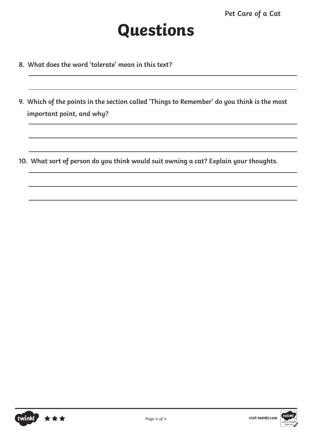- **8. What does the word 'tolerate' mean in this text?**
- **9. Which of the points in the section called 'Things to Remember' do you think is the most important point, and why?**

**10. What sort of person do you think would suit owning a cat? Explain your thoughts.**

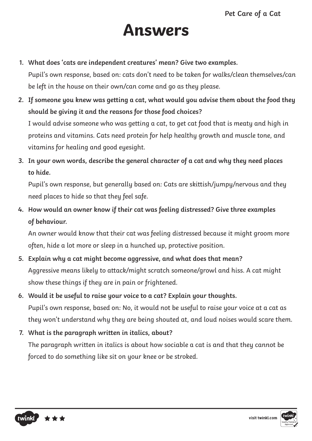### **Answers**

**1. What does 'cats are independent creatures' mean? Give two examples.**

Pupil's own response, based on: cats don't need to be taken for walks/clean themselves/can be left in the house on their own/can come and go as they please.

**2. If someone you knew was getting a cat, what would you advise them about the food they should be giving it and the reasons for those food choices?**

I would advise someone who was getting a cat, to get cat food that is meaty and high in proteins and vitamins. Cats need protein for help healthy growth and muscle tone, and vitamins for healing and good eyesight.

**3. In your own words, describe the general character of a cat and why they need places to hide.**

Pupil's own response, but generally based on: Cats are skittish/jumpy/nervous and they need places to hide so that they feel safe.

**4. How would an owner know if their cat was feeling distressed? Give three examples of behaviour.**

An owner would know that their cat was feeling distressed because it might groom more often, hide a lot more or sleep in a hunched up, protective position.

- **5. Explain why a cat might become aggressive, and what does that mean?** Aggressive means likely to attack/might scratch someone/growl and hiss. A cat might show these things if they are in pain or frightened.
- **6. Would it be useful to raise your voice to a cat? Explain your thoughts.** Pupil's own response, based on: No, it would not be useful to raise your voice at a cat as they won't understand why they are being shouted at, and loud noises would scare them.
- **7. What is the paragraph written in italics, about?**

The paragraph written in italics is about how sociable a cat is and that they cannot be forced to do something like sit on your knee or be stroked.